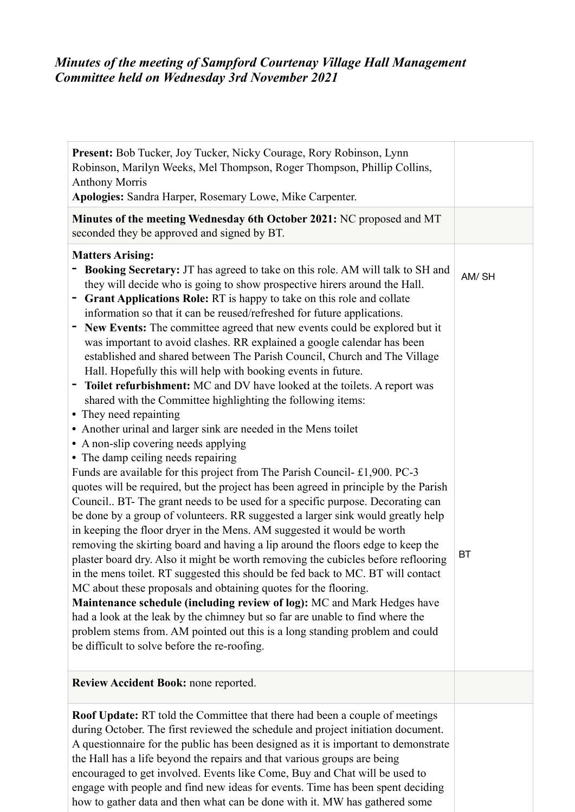## *Minutes of the meeting of Sampford Courtenay Village Hall Management Committee held on Wednesday 3rd November 2021*

| Present: Bob Tucker, Joy Tucker, Nicky Courage, Rory Robinson, Lynn<br>Robinson, Marilyn Weeks, Mel Thompson, Roger Thompson, Phillip Collins,<br><b>Anthony Morris</b><br>Apologies: Sandra Harper, Rosemary Lowe, Mike Carpenter.                                                                                                                                                                                                                                                                                                                                                                                                                                                                                                                                                                                                                                                                                                                                                                                                                                                                                                                                                                                                                                                                                                                                                                                                                                                                                                                                                                                                                |                    |
|----------------------------------------------------------------------------------------------------------------------------------------------------------------------------------------------------------------------------------------------------------------------------------------------------------------------------------------------------------------------------------------------------------------------------------------------------------------------------------------------------------------------------------------------------------------------------------------------------------------------------------------------------------------------------------------------------------------------------------------------------------------------------------------------------------------------------------------------------------------------------------------------------------------------------------------------------------------------------------------------------------------------------------------------------------------------------------------------------------------------------------------------------------------------------------------------------------------------------------------------------------------------------------------------------------------------------------------------------------------------------------------------------------------------------------------------------------------------------------------------------------------------------------------------------------------------------------------------------------------------------------------------------|--------------------|
| Minutes of the meeting Wednesday 6th October 2021: NC proposed and MT<br>seconded they be approved and signed by BT.                                                                                                                                                                                                                                                                                                                                                                                                                                                                                                                                                                                                                                                                                                                                                                                                                                                                                                                                                                                                                                                                                                                                                                                                                                                                                                                                                                                                                                                                                                                               |                    |
| <b>Matters Arising:</b><br>Booking Secretary: JT has agreed to take on this role. AM will talk to SH and<br>they will decide who is going to show prospective hirers around the Hall.<br>Grant Applications Role: RT is happy to take on this role and collate<br>information so that it can be reused/refreshed for future applications.<br>New Events: The committee agreed that new events could be explored but it<br>was important to avoid clashes. RR explained a google calendar has been<br>established and shared between The Parish Council, Church and The Village<br>Hall. Hopefully this will help with booking events in future.<br>Toilet refurbishment: MC and DV have looked at the toilets. A report was<br>shared with the Committee highlighting the following items:<br>• They need repainting<br>• Another urinal and larger sink are needed in the Mens toilet<br>• A non-slip covering needs applying<br>• The damp ceiling needs repairing<br>Funds are available for this project from The Parish Council- £1,900. PC-3<br>quotes will be required, but the project has been agreed in principle by the Parish<br>Council BT- The grant needs to be used for a specific purpose. Decorating can<br>be done by a group of volunteers. RR suggested a larger sink would greatly help<br>in keeping the floor dryer in the Mens. AM suggested it would be worth<br>removing the skirting board and having a lip around the floors edge to keep the<br>plaster board dry. Also it might be worth removing the cubicles before reflooring<br>in the mens toilet. RT suggested this should be fed back to MC. BT will contact | AM/SH<br><b>BT</b> |
| MC about these proposals and obtaining quotes for the flooring.<br>Maintenance schedule (including review of log): MC and Mark Hedges have<br>had a look at the leak by the chimney but so far are unable to find where the<br>problem stems from. AM pointed out this is a long standing problem and could<br>be difficult to solve before the re-roofing.                                                                                                                                                                                                                                                                                                                                                                                                                                                                                                                                                                                                                                                                                                                                                                                                                                                                                                                                                                                                                                                                                                                                                                                                                                                                                        |                    |
| Review Accident Book: none reported.                                                                                                                                                                                                                                                                                                                                                                                                                                                                                                                                                                                                                                                                                                                                                                                                                                                                                                                                                                                                                                                                                                                                                                                                                                                                                                                                                                                                                                                                                                                                                                                                               |                    |
| <b>Roof Update:</b> RT told the Committee that there had been a couple of meetings<br>during October. The first reviewed the schedule and project initiation document.<br>A questionnaire for the public has been designed as it is important to demonstrate<br>the Hall has a life beyond the repairs and that various groups are being<br>encouraged to get involved. Events like Come, Buy and Chat will be used to<br>engage with people and find new ideas for events. Time has been spent deciding<br>how to gather data and then what can be done with it. MW has gathered some                                                                                                                                                                                                                                                                                                                                                                                                                                                                                                                                                                                                                                                                                                                                                                                                                                                                                                                                                                                                                                                             |                    |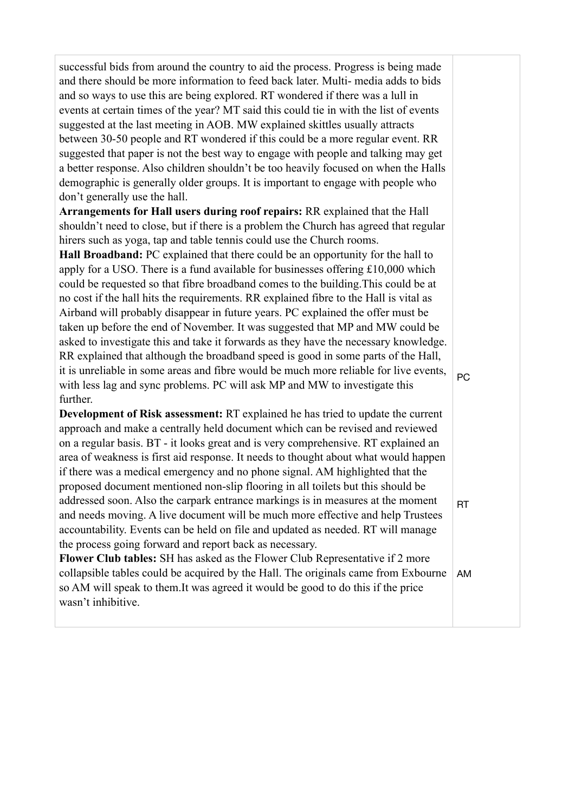successful bids from around the country to aid the process. Progress is being made and there should be more information to feed back later. Multi- media adds to bids and so ways to use this are being explored. RT wondered if there was a lull in events at certain times of the year? MT said this could tie in with the list of events suggested at the last meeting in AOB. MW explained skittles usually attracts between 30-50 people and RT wondered if this could be a more regular event. RR suggested that paper is not the best way to engage with people and talking may get a better response. Also children shouldn't be too heavily focused on when the Halls demographic is generally older groups. It is important to engage with people who don't generally use the hall.

**Arrangements for Hall users during roof repairs:** RR explained that the Hall shouldn't need to close, but if there is a problem the Church has agreed that regular hirers such as yoga, tap and table tennis could use the Church rooms.

**Hall Broadband:** PC explained that there could be an opportunity for the hall to apply for a USO. There is a fund available for businesses offering £10,000 which could be requested so that fibre broadband comes to the building.This could be at no cost if the hall hits the requirements. RR explained fibre to the Hall is vital as Airband will probably disappear in future years. PC explained the offer must be taken up before the end of November. It was suggested that MP and MW could be asked to investigate this and take it forwards as they have the necessary knowledge. RR explained that although the broadband speed is good in some parts of the Hall, it is unreliable in some areas and fibre would be much more reliable for live events, with less lag and sync problems. PC will ask MP and MW to investigate this further.

**Development of Risk assessment:** RT explained he has tried to update the current approach and make a centrally held document which can be revised and reviewed on a regular basis. BT - it looks great and is very comprehensive. RT explained an area of weakness is first aid response. It needs to thought about what would happen if there was a medical emergency and no phone signal. AM highlighted that the proposed document mentioned non-slip flooring in all toilets but this should be addressed soon. Also the carpark entrance markings is in measures at the moment and needs moving. A live document will be much more effective and help Trustees accountability. Events can be held on file and updated as needed. RT will manage the process going forward and report back as necessary.

**Flower Club tables:** SH has asked as the Flower Club Representative if 2 more collapsible tables could be acquired by the Hall. The originals came from Exbourne so AM will speak to them.It was agreed it would be good to do this if the price wasn't inhibitive. AM

PC

RT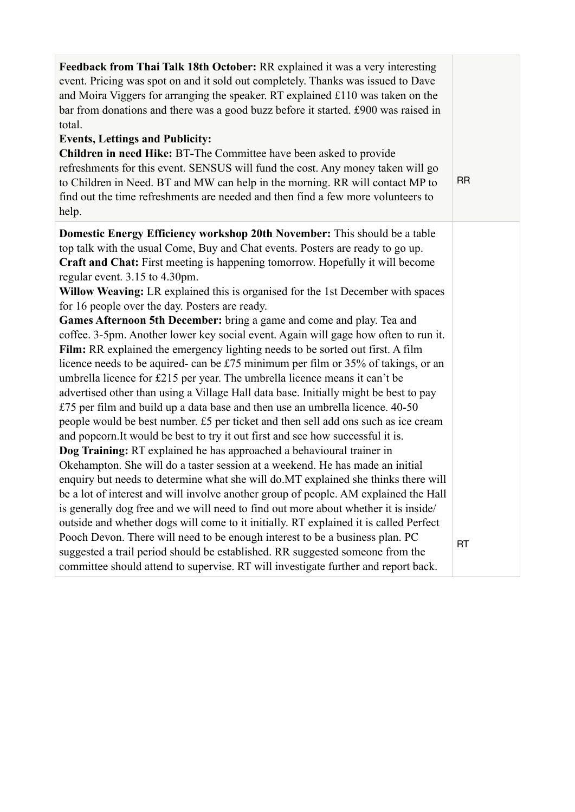| Feedback from Thai Talk 18th October: RR explained it was a very interesting<br>event. Pricing was spot on and it sold out completely. Thanks was issued to Dave<br>and Moira Viggers for arranging the speaker. RT explained £110 was taken on the<br>bar from donations and there was a good buzz before it started. £900 was raised in<br>total.<br><b>Events, Lettings and Publicity:</b><br><b>Children in need Hike: BT-The Committee have been asked to provide</b><br>refreshments for this event. SENSUS will fund the cost. Any money taken will go<br>to Children in Need. BT and MW can help in the morning. RR will contact MP to<br>find out the time refreshments are needed and then find a few more volunteers to<br>help. | <b>RR</b> |
|---------------------------------------------------------------------------------------------------------------------------------------------------------------------------------------------------------------------------------------------------------------------------------------------------------------------------------------------------------------------------------------------------------------------------------------------------------------------------------------------------------------------------------------------------------------------------------------------------------------------------------------------------------------------------------------------------------------------------------------------|-----------|
| <b>Domestic Energy Efficiency workshop 20th November:</b> This should be a table                                                                                                                                                                                                                                                                                                                                                                                                                                                                                                                                                                                                                                                            |           |
| top talk with the usual Come, Buy and Chat events. Posters are ready to go up.                                                                                                                                                                                                                                                                                                                                                                                                                                                                                                                                                                                                                                                              |           |
| Craft and Chat: First meeting is happening tomorrow. Hopefully it will become                                                                                                                                                                                                                                                                                                                                                                                                                                                                                                                                                                                                                                                               |           |
| regular event. 3.15 to 4.30pm.                                                                                                                                                                                                                                                                                                                                                                                                                                                                                                                                                                                                                                                                                                              |           |
| Willow Weaving: LR explained this is organised for the 1st December with spaces                                                                                                                                                                                                                                                                                                                                                                                                                                                                                                                                                                                                                                                             |           |
| for 16 people over the day. Posters are ready.                                                                                                                                                                                                                                                                                                                                                                                                                                                                                                                                                                                                                                                                                              |           |
| Games Afternoon 5th December: bring a game and come and play. Tea and                                                                                                                                                                                                                                                                                                                                                                                                                                                                                                                                                                                                                                                                       |           |
| coffee. 3-5pm. Another lower key social event. Again will gage how often to run it.                                                                                                                                                                                                                                                                                                                                                                                                                                                                                                                                                                                                                                                         |           |
| Film: RR explained the emergency lighting needs to be sorted out first. A film                                                                                                                                                                                                                                                                                                                                                                                                                                                                                                                                                                                                                                                              |           |
| licence needs to be aquired- can be £75 minimum per film or 35% of takings, or an                                                                                                                                                                                                                                                                                                                                                                                                                                                                                                                                                                                                                                                           |           |
| umbrella licence for £215 per year. The umbrella licence means it can't be                                                                                                                                                                                                                                                                                                                                                                                                                                                                                                                                                                                                                                                                  |           |
| advertised other than using a Village Hall data base. Initially might be best to pay                                                                                                                                                                                                                                                                                                                                                                                                                                                                                                                                                                                                                                                        |           |
| £75 per film and build up a data base and then use an umbrella licence. 40-50                                                                                                                                                                                                                                                                                                                                                                                                                                                                                                                                                                                                                                                               |           |
| people would be best number. £5 per ticket and then sell add ons such as ice cream                                                                                                                                                                                                                                                                                                                                                                                                                                                                                                                                                                                                                                                          |           |
| and popcorn. It would be best to try it out first and see how successful it is.                                                                                                                                                                                                                                                                                                                                                                                                                                                                                                                                                                                                                                                             |           |
| Dog Training: RT explained he has approached a behavioural trainer in<br>Okehampton. She will do a taster session at a weekend. He has made an initial                                                                                                                                                                                                                                                                                                                                                                                                                                                                                                                                                                                      |           |
| enquiry but needs to determine what she will do.MT explained she thinks there will                                                                                                                                                                                                                                                                                                                                                                                                                                                                                                                                                                                                                                                          |           |
| be a lot of interest and will involve another group of people. AM explained the Hall                                                                                                                                                                                                                                                                                                                                                                                                                                                                                                                                                                                                                                                        |           |
| is generally dog free and we will need to find out more about whether it is inside/                                                                                                                                                                                                                                                                                                                                                                                                                                                                                                                                                                                                                                                         |           |
| outside and whether dogs will come to it initially. RT explained it is called Perfect                                                                                                                                                                                                                                                                                                                                                                                                                                                                                                                                                                                                                                                       |           |
| Pooch Devon. There will need to be enough interest to be a business plan. PC                                                                                                                                                                                                                                                                                                                                                                                                                                                                                                                                                                                                                                                                |           |
| suggested a trail period should be established. RR suggested someone from the                                                                                                                                                                                                                                                                                                                                                                                                                                                                                                                                                                                                                                                               | <b>RT</b> |
| committee should attend to supervise. RT will investigate further and report back.                                                                                                                                                                                                                                                                                                                                                                                                                                                                                                                                                                                                                                                          |           |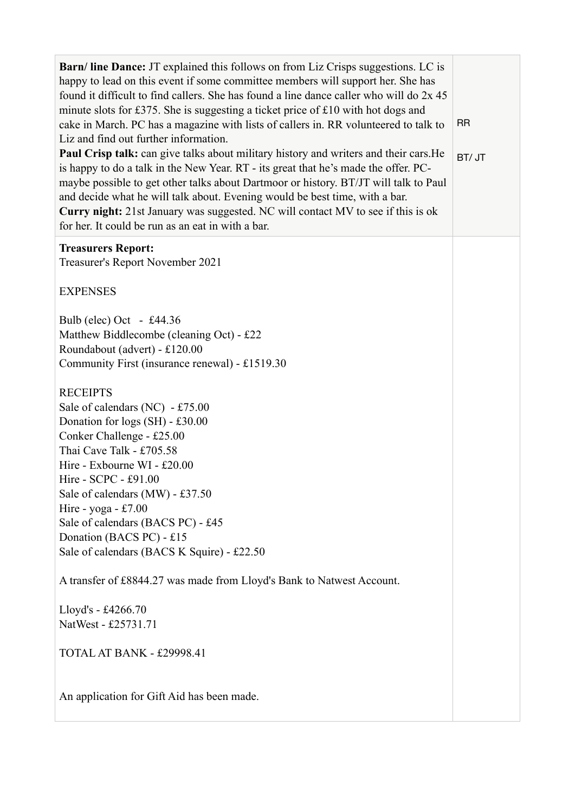| <b>Barn/line Dance:</b> JT explained this follows on from Liz Crisps suggestions. LC is<br>happy to lead on this event if some committee members will support her. She has<br>found it difficult to find callers. She has found a line dance caller who will do 2x 45<br>minute slots for £375. She is suggesting a ticket price of £10 with hot dogs and<br>cake in March. PC has a magazine with lists of callers in. RR volunteered to talk to<br>Liz and find out further information.<br>Paul Crisp talk: can give talks about military history and writers and their cars. He<br>is happy to do a talk in the New Year. RT - its great that he's made the offer. PC-<br>maybe possible to get other talks about Dartmoor or history. BT/JT will talk to Paul<br>and decide what he will talk about. Evening would be best time, with a bar.<br>Curry night: 21st January was suggested. NC will contact MV to see if this is ok<br>for her. It could be run as an eat in with a bar. | <b>RR</b><br>BT/ JT |
|--------------------------------------------------------------------------------------------------------------------------------------------------------------------------------------------------------------------------------------------------------------------------------------------------------------------------------------------------------------------------------------------------------------------------------------------------------------------------------------------------------------------------------------------------------------------------------------------------------------------------------------------------------------------------------------------------------------------------------------------------------------------------------------------------------------------------------------------------------------------------------------------------------------------------------------------------------------------------------------------|---------------------|
| <b>Treasurers Report:</b><br>Treasurer's Report November 2021                                                                                                                                                                                                                                                                                                                                                                                                                                                                                                                                                                                                                                                                                                                                                                                                                                                                                                                              |                     |
| <b>EXPENSES</b>                                                                                                                                                                                                                                                                                                                                                                                                                                                                                                                                                                                                                                                                                                                                                                                                                                                                                                                                                                            |                     |
| Bulb (elec) Oct - £44.36<br>Matthew Biddlecombe (cleaning Oct) - £22<br>Roundabout (advert) - £120.00<br>Community First (insurance renewal) - £1519.30                                                                                                                                                                                                                                                                                                                                                                                                                                                                                                                                                                                                                                                                                                                                                                                                                                    |                     |
| <b>RECEIPTS</b><br>Sale of calendars (NC) - £75.00<br>Donation for logs (SH) - £30.00<br>Conker Challenge - £25.00<br>Thai Cave Talk - £705.58<br>Hire - Exbourne WI - £20.00<br>Hire - SCPC - £91.00<br>Sale of calendars (MW) - £37.50<br>Hire - yoga - £7.00<br>Sale of calendars (BACS PC) - £45<br>Donation (BACS PC) - £15<br>Sale of calendars (BACS K Squire) - £22.50                                                                                                                                                                                                                                                                                                                                                                                                                                                                                                                                                                                                             |                     |
| A transfer of £8844.27 was made from Lloyd's Bank to Natwest Account.                                                                                                                                                                                                                                                                                                                                                                                                                                                                                                                                                                                                                                                                                                                                                                                                                                                                                                                      |                     |
| Lloyd's - £4266.70<br>NatWest - £25731.71                                                                                                                                                                                                                                                                                                                                                                                                                                                                                                                                                                                                                                                                                                                                                                                                                                                                                                                                                  |                     |
| TOTAL AT BANK - £29998.41                                                                                                                                                                                                                                                                                                                                                                                                                                                                                                                                                                                                                                                                                                                                                                                                                                                                                                                                                                  |                     |
| An application for Gift Aid has been made.                                                                                                                                                                                                                                                                                                                                                                                                                                                                                                                                                                                                                                                                                                                                                                                                                                                                                                                                                 |                     |